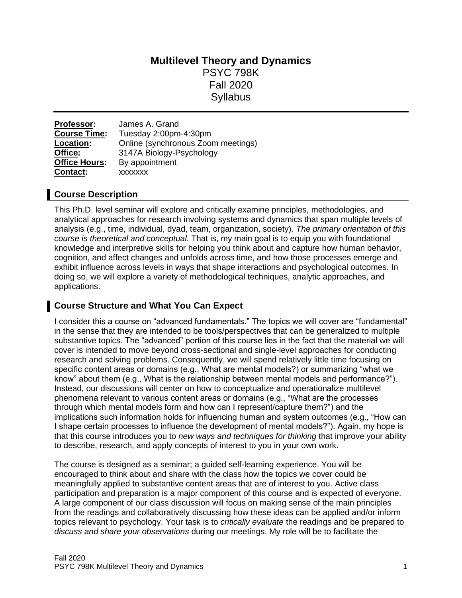# **Multilevel Theory and Dynamics** PSYC 798K Fall 2020 **Syllabus**

**Professor:** James A. Grand **Course Time:** Tuesday 2:00pm-4:30pm **Location:** Online (synchronous Zoom meetings) **Office:** 3147A Biology-Psychology **Office Hours:** By appointment **Contact:** xxxxxxx

### **Course Description**

This Ph.D. level seminar will explore and critically examine principles, methodologies, and analytical approaches for research involving systems and dynamics that span multiple levels of analysis (e.g., time, individual, dyad, team, organization, society). *The primary orientation of this course is theoretical and conceptual*. That is, my main goal is to equip you with foundational knowledge and interpretive skills for helping you think about and capture how human behavior, cognition, and affect changes and unfolds across time, and how those processes emerge and exhibit influence across levels in ways that shape interactions and psychological outcomes. In doing so, we will explore a variety of methodological techniques, analytic approaches, and applications.

### **Course Structure and What You Can Expect**

I consider this a course on "advanced fundamentals." The topics we will cover are "fundamental" in the sense that they are intended to be tools/perspectives that can be generalized to multiple substantive topics. The "advanced" portion of this course lies in the fact that the material we will cover is intended to move beyond cross-sectional and single-level approaches for conducting research and solving problems. Consequently, we will spend relatively little time focusing on specific content areas or domains (e.g., What are mental models?) or summarizing "what we know" about them (e.g., What is the relationship between mental models and performance?"). Instead, our discussions will center on how to conceptualize and operationalize multilevel phenomena relevant to various content areas or domains (e.g., "What are the processes through which mental models form and how can I represent/capture them?") and the implications such information holds for influencing human and system outcomes (e.g., "How can I shape certain processes to influence the development of mental models?"). Again, my hope is that this course introduces you to *new ways and techniques for thinking* that improve your ability to describe, research, and apply concepts of interest to you in your own work.

The course is designed as a seminar; a guided self-learning experience. You will be encouraged to think about and share with the class how the topics we cover could be meaningfully applied to substantive content areas that are of interest to you. Active class participation and preparation is a major component of this course and is expected of everyone. A large component of our class discussion will focus on making sense of the main principles from the readings and collaboratively discussing how these ideas can be applied and/or inform topics relevant to psychology. Your task is to *critically evaluate* the readings and be prepared to *discuss and share your observations* during our meetings. My role will be to facilitate the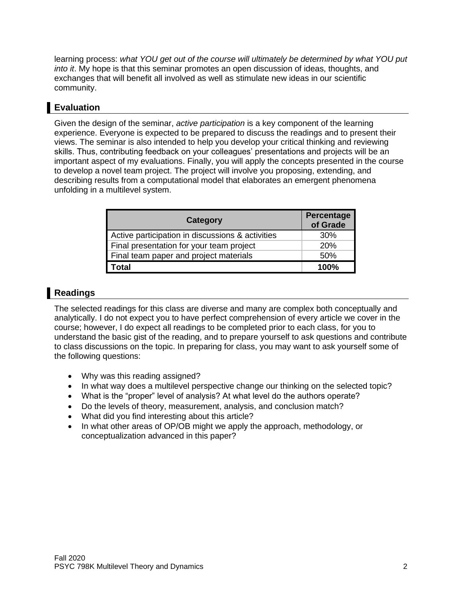learning process: *what YOU get out of the course will ultimately be determined by what YOU put into it*. My hope is that this seminar promotes an open discussion of ideas, thoughts, and exchanges that will benefit all involved as well as stimulate new ideas in our scientific community.

# **Evaluation**

Given the design of the seminar, *active participation* is a key component of the learning experience. Everyone is expected to be prepared to discuss the readings and to present their views. The seminar is also intended to help you develop your critical thinking and reviewing skills. Thus, contributing feedback on your colleagues' presentations and projects will be an important aspect of my evaluations. Finally, you will apply the concepts presented in the course to develop a novel team project. The project will involve you proposing, extending, and describing results from a computational model that elaborates an emergent phenomena unfolding in a multilevel system.

| Category                                         | Percentage<br>of Grade |
|--------------------------------------------------|------------------------|
| Active participation in discussions & activities | 30%                    |
| Final presentation for your team project         | 20%                    |
| Final team paper and project materials           | 50%                    |
| Гоtal                                            | 100%                   |

## **Readings**

The selected readings for this class are diverse and many are complex both conceptually and analytically. I do not expect you to have perfect comprehension of every article we cover in the course; however, I do expect all readings to be completed prior to each class, for you to understand the basic gist of the reading, and to prepare yourself to ask questions and contribute to class discussions on the topic. In preparing for class, you may want to ask yourself some of the following questions:

- Why was this reading assigned?
- In what way does a multilevel perspective change our thinking on the selected topic?
- What is the "proper" level of analysis? At what level do the authors operate?
- Do the levels of theory, measurement, analysis, and conclusion match?
- What did you find interesting about this article?
- In what other areas of OP/OB might we apply the approach, methodology, or conceptualization advanced in this paper?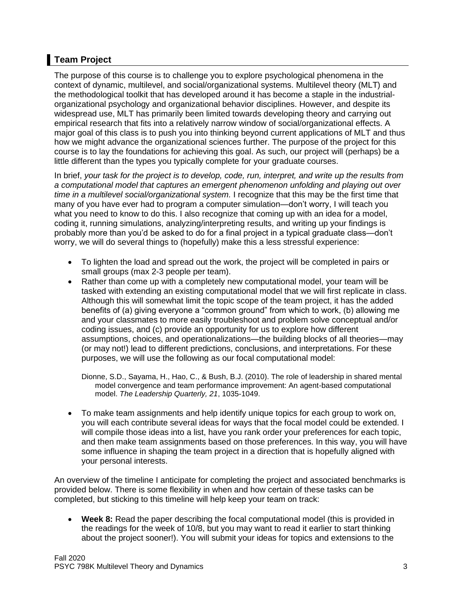# **Team Project**

The purpose of this course is to challenge you to explore psychological phenomena in the context of dynamic, multilevel, and social/organizational systems. Multilevel theory (MLT) and the methodological toolkit that has developed around it has become a staple in the industrialorganizational psychology and organizational behavior disciplines. However, and despite its widespread use, MLT has primarily been limited towards developing theory and carrying out empirical research that fits into a relatively narrow window of social/organizational effects. A major goal of this class is to push you into thinking beyond current applications of MLT and thus how we might advance the organizational sciences further. The purpose of the project for this course is to lay the foundations for achieving this goal. As such, our project will (perhaps) be a little different than the types you typically complete for your graduate courses.

In brief, *your task for the project is to develop, code, run, interpret, and write up the results from a computational model that captures an emergent phenomenon unfolding and playing out over time in a multilevel social/organizational system.* I recognize that this may be the first time that many of you have ever had to program a computer simulation—don't worry, I will teach you what you need to know to do this. I also recognize that coming up with an idea for a model, coding it, running simulations, analyzing/interpreting results, and writing up your findings is probably more than you'd be asked to do for a final project in a typical graduate class—don't worry, we will do several things to (hopefully) make this a less stressful experience:

- To lighten the load and spread out the work, the project will be completed in pairs or small groups (max 2-3 people per team).
- Rather than come up with a completely new computational model, your team will be tasked with extending an existing computational model that we will first replicate in class. Although this will somewhat limit the topic scope of the team project, it has the added benefits of (a) giving everyone a "common ground" from which to work, (b) allowing me and your classmates to more easily troubleshoot and problem solve conceptual and/or coding issues, and (c) provide an opportunity for us to explore how different assumptions, choices, and operationalizations—the building blocks of all theories—may (or may not!) lead to different predictions, conclusions, and interpretations. For these purposes, we will use the following as our focal computational model:

Dionne, S.D., Sayama, H., Hao, C., & Bush, B.J. (2010). The role of leadership in shared mental model convergence and team performance improvement: An agent-based computational model. *The Leadership Quarterly, 21*, 1035-1049.

• To make team assignments and help identify unique topics for each group to work on, you will each contribute several ideas for ways that the focal model could be extended. I will compile those ideas into a list, have you rank order your preferences for each topic, and then make team assignments based on those preferences. In this way, you will have some influence in shaping the team project in a direction that is hopefully aligned with your personal interests.

An overview of the timeline I anticipate for completing the project and associated benchmarks is provided below. There is some flexibility in when and how certain of these tasks can be completed, but sticking to this timeline will help keep your team on track:

• Week 8: Read the paper describing the focal computational model (this is provided in the readings for the week of 10/8, but you may want to read it earlier to start thinking about the project sooner!). You will submit your ideas for topics and extensions to the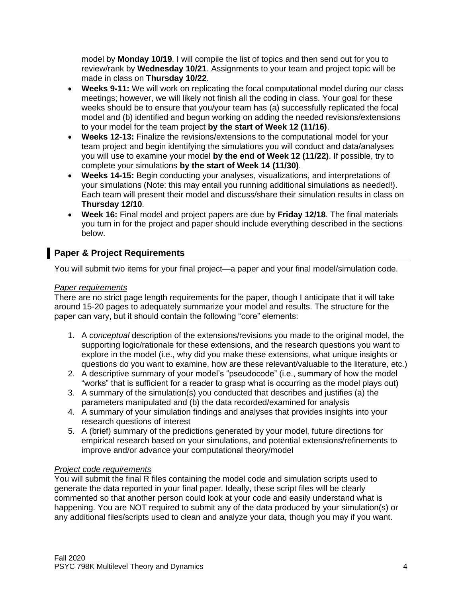model by **Monday 10/19**. I will compile the list of topics and then send out for you to review/rank by **Wednesday 10/21**. Assignments to your team and project topic will be made in class on **Thursday 10/22**.

- **Weeks 9-11:** We will work on replicating the focal computational model during our class meetings; however, we will likely not finish all the coding in class. Your goal for these weeks should be to ensure that you/your team has (a) successfully replicated the focal model and (b) identified and begun working on adding the needed revisions/extensions to your model for the team project **by the start of Week 12 (11/16)**.
- **Weeks 12-13:** Finalize the revisions/extensions to the computational model for your team project and begin identifying the simulations you will conduct and data/analyses you will use to examine your model **by the end of Week 12 (11/22)**. If possible, try to complete your simulations **by the start of Week 14 (11/30)**.
- **Weeks 14-15:** Begin conducting your analyses, visualizations, and interpretations of your simulations (Note: this may entail you running additional simulations as needed!). Each team will present their model and discuss/share their simulation results in class on **Thursday 12/10**.
- **Week 16:** Final model and project papers are due by **Friday 12/18**. The final materials you turn in for the project and paper should include everything described in the sections below.

## **Paper & Project Requirements**

You will submit two items for your final project—a paper and your final model/simulation code.

### *Paper requirements*

There are no strict page length requirements for the paper, though I anticipate that it will take around 15-20 pages to adequately summarize your model and results. The structure for the paper can vary, but it should contain the following "core" elements:

- 1. A *conceptual* description of the extensions/revisions you made to the original model, the supporting logic/rationale for these extensions, and the research questions you want to explore in the model (i.e., why did you make these extensions, what unique insights or questions do you want to examine, how are these relevant/valuable to the literature, etc.)
- 2. A descriptive summary of your model's "pseudocode" (i.e., summary of how the model "works" that is sufficient for a reader to grasp what is occurring as the model plays out)
- 3. A summary of the simulation(s) you conducted that describes and justifies (a) the parameters manipulated and (b) the data recorded/examined for analysis
- 4. A summary of your simulation findings and analyses that provides insights into your research questions of interest
- 5. A (brief) summary of the predictions generated by your model, future directions for empirical research based on your simulations, and potential extensions/refinements to improve and/or advance your computational theory/model

### *Project code requirements*

You will submit the final R files containing the model code and simulation scripts used to generate the data reported in your final paper. Ideally, these script files will be clearly commented so that another person could look at your code and easily understand what is happening. You are NOT required to submit any of the data produced by your simulation(s) or any additional files/scripts used to clean and analyze your data, though you may if you want.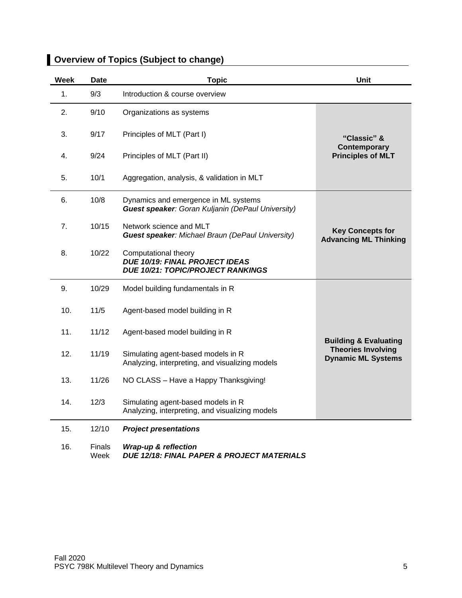| <b>Week</b> | Date   | <b>Topic</b>                                                                                              | Unit                                                                                       |
|-------------|--------|-----------------------------------------------------------------------------------------------------------|--------------------------------------------------------------------------------------------|
| 1.          | 9/3    | Introduction & course overview                                                                            |                                                                                            |
| 2.          | 9/10   | Organizations as systems                                                                                  | "Classic" &<br>Contemporary<br><b>Principles of MLT</b>                                    |
| 3.          | 9/17   | Principles of MLT (Part I)                                                                                |                                                                                            |
| 4.          | 9/24   | Principles of MLT (Part II)                                                                               |                                                                                            |
| 5.          | 10/1   | Aggregation, analysis, & validation in MLT                                                                |                                                                                            |
| 6.          | 10/8   | Dynamics and emergence in ML systems<br><b>Guest speaker:</b> Goran Kuljanin (DePaul University)          | <b>Key Concepts for</b><br><b>Advancing ML Thinking</b>                                    |
| 7.          | 10/15  | Network science and MLT<br><b>Guest speaker: Michael Braun (DePaul University)</b>                        |                                                                                            |
| 8.          | 10/22  | Computational theory<br><b>DUE 10/19: FINAL PROJECT IDEAS</b><br><b>DUE 10/21: TOPIC/PROJECT RANKINGS</b> |                                                                                            |
| 9.          | 10/29  | Model building fundamentals in R                                                                          | <b>Building &amp; Evaluating</b><br><b>Theories Involving</b><br><b>Dynamic ML Systems</b> |
| 10.         | $11/5$ | Agent-based model building in R                                                                           |                                                                                            |
| 11.         | 11/12  | Agent-based model building in R                                                                           |                                                                                            |
| 12.         | 11/19  | Simulating agent-based models in R<br>Analyzing, interpreting, and visualizing models                     |                                                                                            |
| 13.         | 11/26  | NO CLASS - Have a Happy Thanksgiving!                                                                     |                                                                                            |
| 14.         | 12/3   | Simulating agent-based models in R<br>Analyzing, interpreting, and visualizing models                     |                                                                                            |
| 15.         | 12/10  | <b>Project presentations</b>                                                                              |                                                                                            |

# **Overview of Topics (Subject to change)**

16. Finals Week *Wrap-up & reflection DUE 12/18: FINAL PAPER & PROJECT MATERIALS*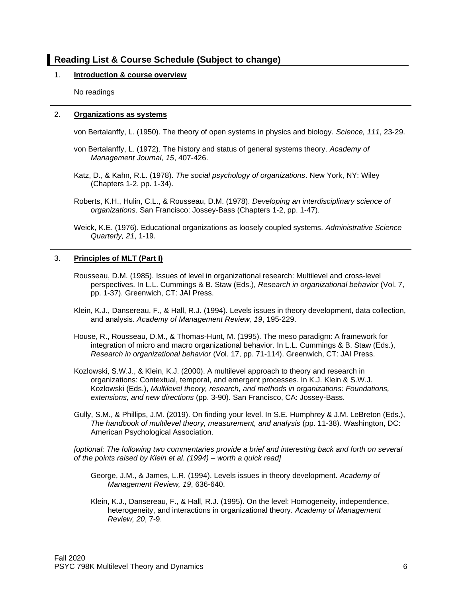### **Reading List & Course Schedule (Subject to change)**

#### 1. **Introduction & course overview**

No readings

#### 2. **Organizations as systems**

von Bertalanffy, L. (1950). The theory of open systems in physics and biology. *Science, 111*, 23-29.

- von Bertalanffy, L. (1972). The history and status of general systems theory. *Academy of Management Journal, 15*, 407-426.
- Katz, D., & Kahn, R.L. (1978). *The social psychology of organizations*. New York, NY: Wiley (Chapters 1-2, pp. 1-34).
- Roberts, K.H., Hulin, C.L., & Rousseau, D.M. (1978). *Developing an interdisciplinary science of organizations*. San Francisco: Jossey-Bass (Chapters 1-2, pp. 1-47).
- Weick, K.E. (1976). Educational organizations as loosely coupled systems. *Administrative Science Quarterly, 21*, 1-19.

#### 3. **Principles of MLT (Part I)**

- Rousseau, D.M. (1985). Issues of level in organizational research: Multilevel and cross-level perspectives. In L.L. Cummings & B. Staw (Eds.), *Research in organizational behavior* (Vol. 7, pp. 1-37). Greenwich, CT: JAI Press.
- Klein, K.J., Dansereau, F., & Hall, R.J. (1994). Levels issues in theory development, data collection, and analysis. *Academy of Management Review, 19*, 195-229.
- House, R., Rousseau, D.M., & Thomas-Hunt, M. (1995). The meso paradigm: A framework for integration of micro and macro organizational behavior. In L.L. Cummings & B. Staw (Eds.), *Research in organizational behavior* (Vol. 17, pp. 71-114). Greenwich, CT: JAI Press.
- Kozlowski, S.W.J., & Klein, K.J. (2000). A multilevel approach to theory and research in organizations: Contextual, temporal, and emergent processes. In K.J. Klein & S.W.J. Kozlowski (Eds.), *Multilevel theory, research, and methods in organizations: Foundations, extensions, and new directions* (pp. 3-90). San Francisco, CA: Jossey-Bass.
- Gully, S.M., & Phillips, J.M. (2019). On finding your level. In S.E. Humphrey & J.M. LeBreton (Eds.), *The handbook of multilevel theory, measurement, and analysis* (pp. 11-38). Washington, DC: American Psychological Association.

*[optional: The following two commentaries provide a brief and interesting back and forth on several of the points raised by Klein et al. (1994) – worth a quick read]*

- George, J.M., & James, L.R. (1994). Levels issues in theory development. *Academy of Management Review, 19*, 636-640.
- Klein, K.J., Dansereau, F., & Hall, R.J. (1995). On the level: Homogeneity, independence, heterogeneity, and interactions in organizational theory. *Academy of Management Review, 20*, 7-9.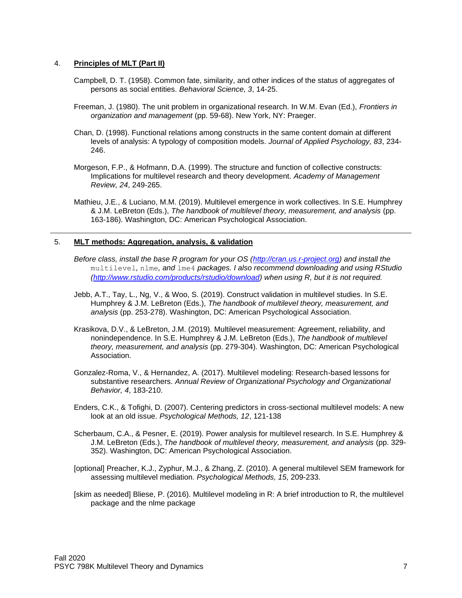#### 4. **Principles of MLT (Part II)**

- Campbell, D. T. (1958). Common fate, similarity, and other indices of the status of aggregates of persons as social entities. *Behavioral Science, 3*, 14-25.
- Freeman, J. (1980). The unit problem in organizational research. In W.M. Evan (Ed.), *Frontiers in organization and management* (pp. 59-68). New York, NY: Praeger.
- Chan, D. (1998). Functional relations among constructs in the same content domain at different levels of analysis: A typology of composition models. *Journal of Applied Psychology, 83*, 234- 246.
- Morgeson, F.P., & Hofmann, D.A. (1999). The structure and function of collective constructs: Implications for multilevel research and theory development. *Academy of Management Review, 24*, 249-265.
- Mathieu, J.E., & Luciano, M.M. (2019). Multilevel emergence in work collectives. In S.E. Humphrey & J.M. LeBreton (Eds.), *The handbook of multilevel theory, measurement, and analysis* (pp. 163-186). Washington, DC: American Psychological Association.

#### 5. **MLT methods: Aggregation, analysis, & validation**

- *Before class, install the base R program for your OS [\(http://cran.us.r-project.org\)](http://cran.us.r-project.org/) and install the*  multilevel*,* nlme*, and* lme4 *packages. I also recommend downloading and using RStudio [\(http://www.rstudio.com/products/rstudio/download\)](http://www.rstudio.com/products/rstudio/download) when using R, but it is not required.*
- Jebb, A.T., Tay, L., Ng, V., & Woo, S. (2019). Construct validation in multilevel studies. In S.E. Humphrey & J.M. LeBreton (Eds.), *The handbook of multilevel theory, measurement, and analysis* (pp. 253-278). Washington, DC: American Psychological Association.
- Krasikova, D.V., & LeBreton, J.M. (2019). Multilevel measurement: Agreement, reliability, and nonindependence. In S.E. Humphrey & J.M. LeBreton (Eds.), *The handbook of multilevel theory, measurement, and analysis* (pp. 279-304). Washington, DC: American Psychological Association.
- Gonzalez-Roma, V., & Hernandez, A. (2017). Multilevel modeling: Research-based lessons for substantive researchers. *Annual Review of Organizational Psychology and Organizational Behavior, 4*, 183-210.
- Enders, C.K., & Tofighi, D. (2007). Centering predictors in cross-sectional multilevel models: A new look at an old issue. *Psychological Methods, 12*, 121-138
- Scherbaum, C.A., & Pesner, E. (2019). Power analysis for multilevel research. In S.E. Humphrey & J.M. LeBreton (Eds.), *The handbook of multilevel theory, measurement, and analysis* (pp. 329- 352). Washington, DC: American Psychological Association.
- [optional] Preacher, K.J., Zyphur, M.J., & Zhang, Z. (2010). A general multilevel SEM framework for assessing multilevel mediation. *Psychological Methods, 15*, 209-233.
- [skim as needed] Bliese, P. (2016). Multilevel modeling in R: A brief introduction to R, the multilevel package and the nlme package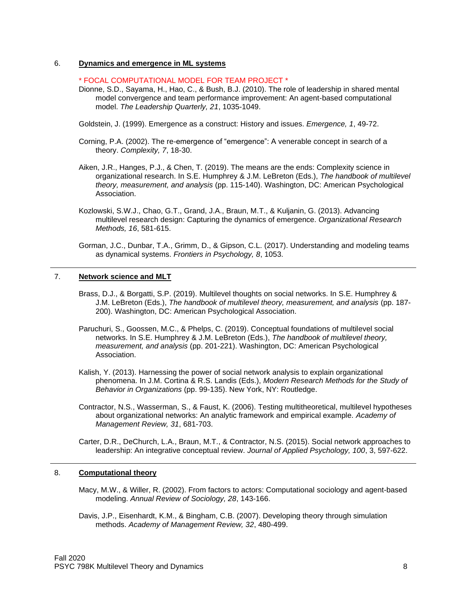#### 6. **Dynamics and emergence in ML systems**

\* FOCAL COMPUTATIONAL MODEL FOR TEAM PROJECT \*

Dionne, S.D., Sayama, H., Hao, C., & Bush, B.J. (2010). The role of leadership in shared mental model convergence and team performance improvement: An agent-based computational model. *The Leadership Quarterly, 21*, 1035-1049.

Goldstein, J. (1999). Emergence as a construct: History and issues. *Emergence, 1*, 49-72.

Corning, P.A. (2002). The re-emergence of "emergence": A venerable concept in search of a theory. *Complexity, 7*, 18-30.

- Aiken, J.R., Hanges, P.J., & Chen, T. (2019). The means are the ends: Complexity science in organizational research. In S.E. Humphrey & J.M. LeBreton (Eds.), *The handbook of multilevel theory, measurement, and analysis* (pp. 115-140). Washington, DC: American Psychological Association.
- Kozlowski, S.W.J., Chao, G.T., Grand, J.A., Braun, M.T., & Kuljanin, G. (2013). Advancing multilevel research design: Capturing the dynamics of emergence. *Organizational Research Methods, 16*, 581-615.
- Gorman, J.C., Dunbar, T.A., Grimm, D., & Gipson, C.L. (2017). Understanding and modeling teams as dynamical systems. *Frontiers in Psychology, 8*, 1053.

#### 7. **Network science and MLT**

- Brass, D.J., & Borgatti, S.P. (2019). Multilevel thoughts on social networks. In S.E. Humphrey & J.M. LeBreton (Eds.), *The handbook of multilevel theory, measurement, and analysis* (pp. 187- 200). Washington, DC: American Psychological Association.
- Paruchuri, S., Goossen, M.C., & Phelps, C. (2019). Conceptual foundations of multilevel social networks. In S.E. Humphrey & J.M. LeBreton (Eds.), *The handbook of multilevel theory, measurement, and analysis* (pp. 201-221). Washington, DC: American Psychological Association.
- Kalish, Y. (2013). Harnessing the power of social network analysis to explain organizational phenomena. In J.M. Cortina & R.S. Landis (Eds.), *Modern Research Methods for the Study of Behavior in Organizations* (pp. 99-135). New York, NY: Routledge.
- Contractor, N.S., Wasserman, S., & Faust, K. (2006). Testing multitheoretical, multilevel hypotheses about organizational networks: An analytic framework and empirical example. *Academy of Management Review, 31*, 681-703.
- Carter, D.R., DeChurch, L.A., Braun, M.T., & Contractor, N.S. (2015). Social network approaches to leadership: An integrative conceptual review. *Journal of Applied Psychology, 100*, 3, 597-622.

#### 8. **Computational theory**

- Macy, M.W., & Willer, R. (2002). From factors to actors: Computational sociology and agent-based modeling. *Annual Review of Sociology, 28*, 143-166.
- Davis, J.P., Eisenhardt, K.M., & Bingham, C.B. (2007). Developing theory through simulation methods. *Academy of Management Review, 32*, 480-499.